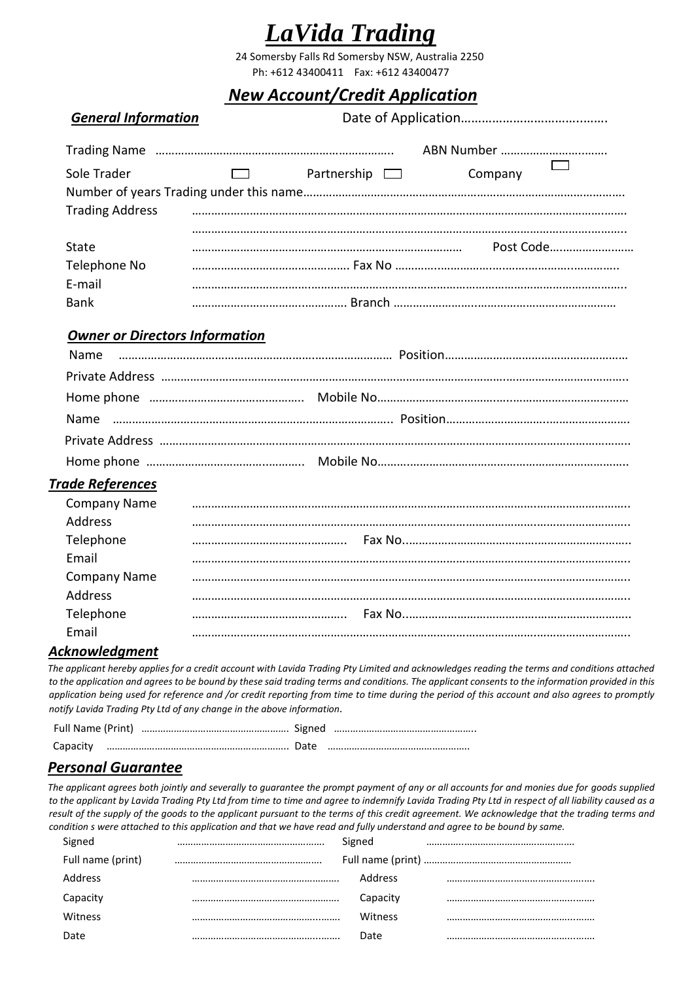# *LaVida Trading*

24 Somersby Falls Rd Somersby NSW, Australia 2250 Ph: +612 43400411 Fax: +612 43400477

# *New Account/Credit Application*

**General Information Contracts** Date of Application…………………………………………………………………………

| Sole Trader            | and the property of the con- | Partnership $\Box$ | Company |           |
|------------------------|------------------------------|--------------------|---------|-----------|
|                        |                              |                    |         |           |
| <b>Trading Address</b> |                              |                    |         |           |
|                        |                              |                    |         |           |
| State                  |                              |                    |         | Post Code |
| Telephone No           |                              |                    |         |           |
| E-mail                 |                              |                    |         |           |
| <b>Bank</b>            |                              |                    |         |           |

#### *Owner or Directors Information*

#### *Trade References*

| Company Name<br>Address |
|-------------------------|
|                         |
| Telephone               |
| $E$ mail                |
| Company Name<br>Address |
|                         |
| Telephone<br>Email      |
|                         |
|                         |

#### *Acknowledgment*

*The applicant hereby applies for a credit account with Lavida Trading Pty Limited and acknowledges reading the terms and conditions attached to the application and agrees to be bound by these said trading terms and conditions. The applicant consents to the information provided in this application being used for reference and /or credit reporting from time to time during the period of this account and also agrees to promptly notify Lavida Trading Pty Ltd of any change in the above information.* 

### *Personal Guarantee*

*The applicant agrees both jointly and severally to guarantee the prompt payment of any or all accounts for and monies due for goods supplied to the applicant by Lavida Trading Pty Ltd from time to time and agree to indemnify Lavida Trading Pty Ltd in respect of all liability caused as a result of the supply of the goods to the applicant pursuant to the terms of this credit agreement. We acknowledge that the trading terms and condition s were attached to this application and that we have read and fully understand and agree to be bound by same.* 

| Signed            | Signed   |  |
|-------------------|----------|--|
| Full name (print) |          |  |
| Address           | Address  |  |
| Capacity          | Capacity |  |
| Witness           | Witness  |  |
| Date              | Date     |  |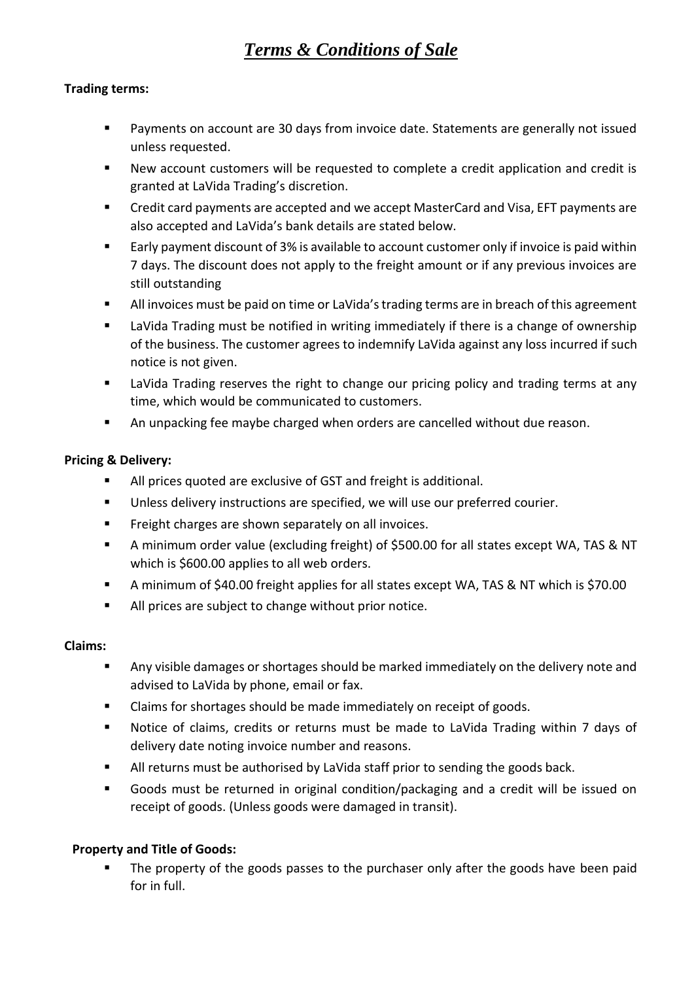# *Terms & Conditions of Sale*

#### **Trading terms:**

- Payments on account are 30 days from invoice date. Statements are generally not issued unless requested.
- New account customers will be requested to complete a credit application and credit is granted at LaVida Trading's discretion.
- Credit card payments are accepted and we accept MasterCard and Visa, EFT payments are also accepted and LaVida's bank details are stated below.
- Early payment discount of 3% is available to account customer only if invoice is paid within 7 days. The discount does not apply to the freight amount or if any previous invoices are still outstanding
- All invoices must be paid on time or LaVida's trading terms are in breach of this agreement
- LaVida Trading must be notified in writing immediately if there is a change of ownership of the business. The customer agrees to indemnify LaVida against any loss incurred if such notice is not given.
- **EXTED 10** LaVida Trading reserves the right to change our pricing policy and trading terms at any time, which would be communicated to customers.
- An unpacking fee maybe charged when orders are cancelled without due reason.

#### **Pricing & Delivery:**

- All prices quoted are exclusive of GST and freight is additional.
- **Unless delivery instructions are specified, we will use our preferred courier.**
- **Filter Freight charges are shown separately on all invoices.**
- A minimum order value (excluding freight) of \$500.00 for all states except WA, TAS & NT which is \$600.00 applies to all web orders.
- A minimum of \$40.00 freight applies for all states except WA, TAS & NT which is \$70.00
- All prices are subject to change without prior notice.

#### **Claims:**

- Any visible damages or shortages should be marked immediately on the delivery note and advised to LaVida by phone, email or fax.
- Claims for shortages should be made immediately on receipt of goods.
- Notice of claims, credits or returns must be made to LaVida Trading within 7 days of delivery date noting invoice number and reasons.
- All returns must be authorised by LaVida staff prior to sending the goods back.
- Goods must be returned in original condition/packaging and a credit will be issued on receipt of goods. (Unless goods were damaged in transit).

#### **Property and Title of Goods:**

 The property of the goods passes to the purchaser only after the goods have been paid for in full.